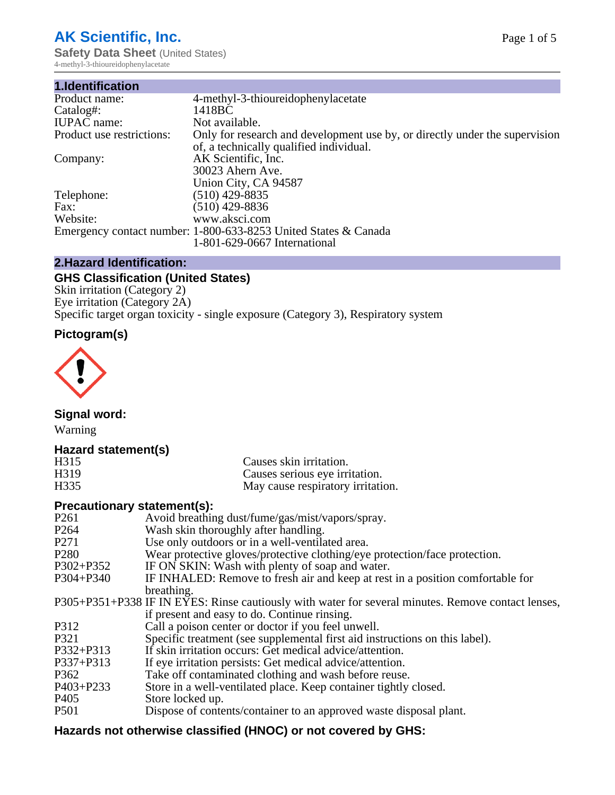# **AK Scientific, Inc.**

**Safety Data Sheet (United States)** 4-methyl-3-thioureidophenylacetate

| 1.Identification          |                                                                                                                        |
|---------------------------|------------------------------------------------------------------------------------------------------------------------|
| Product name:             | 4-methyl-3-thioureidophenylacetate                                                                                     |
| Catalog#:                 | 1418BC                                                                                                                 |
| <b>IUPAC</b> name:        | Not available.                                                                                                         |
| Product use restrictions: | Only for research and development use by, or directly under the supervision<br>of, a technically qualified individual. |
| Company:                  | AK Scientific, Inc.<br>30023 Ahern Ave.<br>Union City, CA 94587                                                        |
| Telephone:                | $(510)$ 429-8835                                                                                                       |
| Fax:                      | (510) 429-8836                                                                                                         |
| Website:                  | www.aksci.com                                                                                                          |
|                           | Emergency contact number: 1-800-633-8253 United States & Canada<br>1-801-629-0667 International                        |

#### **2.Hazard Identification:**

## **GHS Classification (United States)**

Skin irritation (Category 2) Eye irritation (Category 2A) Specific target organ toxicity - single exposure (Category 3), Respiratory system

# **Pictogram(s)**



**Signal word:**

Warning

#### **Hazard statement(s)**

| H <sub>315</sub>  | Causes skin irritation.           |
|-------------------|-----------------------------------|
| H <sub>3</sub> 19 | Causes serious eye irritation.    |
| H335              | May cause respiratory irritation. |

#### **Precautionary statement(s):**

| P <sub>261</sub> | Avoid breathing dust/fume/gas/mist/vapors/spray.                                                   |
|------------------|----------------------------------------------------------------------------------------------------|
| P <sub>264</sub> | Wash skin thoroughly after handling.                                                               |
| P <sub>271</sub> | Use only outdoors or in a well-ventilated area.                                                    |
| P <sub>280</sub> | Wear protective gloves/protective clothing/eye protection/face protection.                         |
| P302+P352        | IF ON SKIN: Wash with plenty of soap and water.                                                    |
| $P304 + P340$    | IF INHALED: Remove to fresh air and keep at rest in a position comfortable for                     |
|                  | breathing.                                                                                         |
|                  | P305+P351+P338 IF IN EYES: Rinse cautiously with water for several minutes. Remove contact lenses, |
|                  | if present and easy to do. Continue rinsing.                                                       |
| P312             | Call a poison center or doctor if you feel unwell.                                                 |
| P321             | Specific treatment (see supplemental first aid instructions on this label).                        |
| P332+P313        | If skin irritation occurs: Get medical advice/attention.                                           |
| P337+P313        | If eye irritation persists: Get medical advice/attention.                                          |
| P362             | Take off contaminated clothing and wash before reuse.                                              |
| P403+P233        | Store in a well-ventilated place. Keep container tightly closed.                                   |
| P <sub>405</sub> | Store locked up.                                                                                   |
| P <sub>501</sub> | Dispose of contents/container to an approved waste disposal plant.                                 |
|                  |                                                                                                    |

## **Hazards not otherwise classified (HNOC) or not covered by GHS:**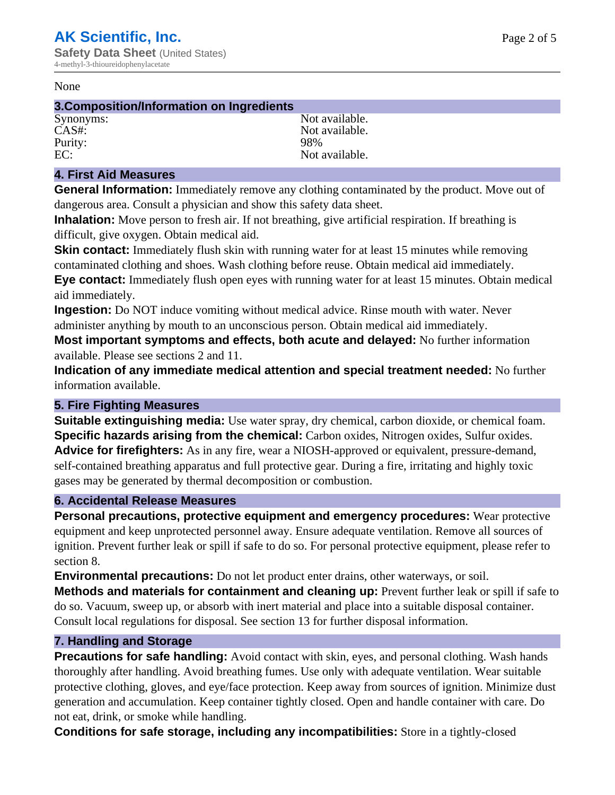#### None

#### **3.Composition/Information on Ingredients**

Purity:<br>EC:

Synonyms: Not available. CAS#:<br>Purity: 98% 98% Not available.

#### **4. First Aid Measures**

**General Information:** Immediately remove any clothing contaminated by the product. Move out of dangerous area. Consult a physician and show this safety data sheet.

**Inhalation:** Move person to fresh air. If not breathing, give artificial respiration. If breathing is difficult, give oxygen. Obtain medical aid.

**Skin contact:** Immediately flush skin with running water for at least 15 minutes while removing contaminated clothing and shoes. Wash clothing before reuse. Obtain medical aid immediately. **Eye contact:** Immediately flush open eyes with running water for at least 15 minutes. Obtain medical aid immediately.

**Ingestion:** Do NOT induce vomiting without medical advice. Rinse mouth with water. Never administer anything by mouth to an unconscious person. Obtain medical aid immediately.

**Most important symptoms and effects, both acute and delayed:** No further information available. Please see sections 2 and 11.

**Indication of any immediate medical attention and special treatment needed:** No further information available.

#### **5. Fire Fighting Measures**

**Suitable extinguishing media:** Use water spray, dry chemical, carbon dioxide, or chemical foam. **Specific hazards arising from the chemical:** Carbon oxides, Nitrogen oxides, Sulfur oxides. **Advice for firefighters:** As in any fire, wear a NIOSH-approved or equivalent, pressure-demand, self-contained breathing apparatus and full protective gear. During a fire, irritating and highly toxic gases may be generated by thermal decomposition or combustion.

#### **6. Accidental Release Measures**

**Personal precautions, protective equipment and emergency procedures:** Wear protective equipment and keep unprotected personnel away. Ensure adequate ventilation. Remove all sources of ignition. Prevent further leak or spill if safe to do so. For personal protective equipment, please refer to section 8.

**Environmental precautions:** Do not let product enter drains, other waterways, or soil.

**Methods and materials for containment and cleaning up:** Prevent further leak or spill if safe to do so. Vacuum, sweep up, or absorb with inert material and place into a suitable disposal container. Consult local regulations for disposal. See section 13 for further disposal information.

#### **7. Handling and Storage**

**Precautions for safe handling:** Avoid contact with skin, eyes, and personal clothing. Wash hands thoroughly after handling. Avoid breathing fumes. Use only with adequate ventilation. Wear suitable protective clothing, gloves, and eye/face protection. Keep away from sources of ignition. Minimize dust generation and accumulation. Keep container tightly closed. Open and handle container with care. Do not eat, drink, or smoke while handling.

**Conditions for safe storage, including any incompatibilities:** Store in a tightly-closed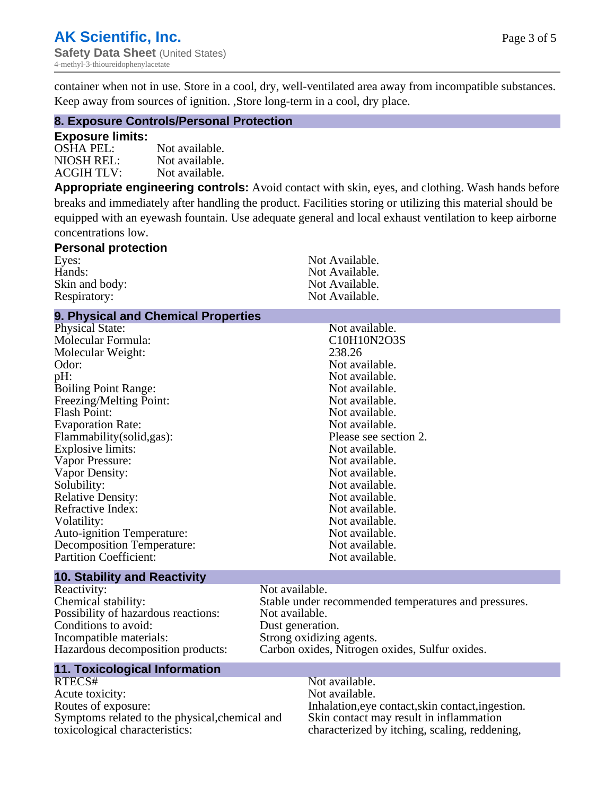container when not in use. Store in a cool, dry, well-ventilated area away from incompatible substances. Keep away from sources of ignition. ,Store long-term in a cool, dry place.

#### **8. Exposure Controls/Personal Protection**

#### **Exposure limits:**

| OSHA PEL:  | Not available. |
|------------|----------------|
| NIOSH REL: | Not available. |
| ACGIH TLV: | Not available. |

**Appropriate engineering controls:** Avoid contact with skin, eyes, and clothing. Wash hands before breaks and immediately after handling the product. Facilities storing or utilizing this material should be equipped with an eyewash fountain. Use adequate general and local exhaust ventilation to keep airborne concentrations low.

| <b>Personal protection</b> |                |
|----------------------------|----------------|
| Eyes:                      | Not Available. |
| Hands:                     | Not Available. |
| Skin and body:             | Not Available. |
| Respiratory:               | Not Available. |

#### **9. Physical and Chemical Properties**

| <b>Physical State:</b>            | Not available.        |
|-----------------------------------|-----------------------|
| Molecular Formula:                | C10H10N2O3S           |
| Molecular Weight:                 | 238.26                |
| Odor:                             | Not available.        |
| pH:                               | Not available.        |
| <b>Boiling Point Range:</b>       | Not available.        |
| Freezing/Melting Point:           | Not available.        |
| <b>Flash Point:</b>               | Not available.        |
| <b>Evaporation Rate:</b>          | Not available.        |
| Flammability (solid, gas):        | Please see section 2. |
| <b>Explosive limits:</b>          | Not available.        |
| Vapor Pressure:                   | Not available.        |
| Vapor Density:                    | Not available.        |
| Solubility:                       | Not available.        |
| <b>Relative Density:</b>          | Not available.        |
| Refractive Index:                 | Not available.        |
| Volatility:                       | Not available.        |
| <b>Auto-ignition Temperature:</b> | Not available.        |
| Decomposition Temperature:        | Not available.        |
| <b>Partition Coefficient:</b>     | Not available.        |

#### **10. Stability and Reactivity**

Reactivity: Not available.<br>
Chemical stability: Stable under re Possibility of hazardous reactions: Conditions to avoid: Dust generation. Incompatible materials: Strong oxidizing agents.

# **11. Toxicological Information**

RTECS# Not available. Acute toxicity: Not available.<br>
Routes of exposure: This is a multiple in the link of exposure in the link of the link of exposure. Symptoms related to the physical,chemical and toxicological characteristics:

# Stable under recommended temperatures and pressures.<br>Not available. Hazardous decomposition products: Carbon oxides, Nitrogen oxides, Sulfur oxides.

Inhalation,eye contact, skin contact, ingestion. Skin contact may result in inflammation characterized by itching, scaling, reddening,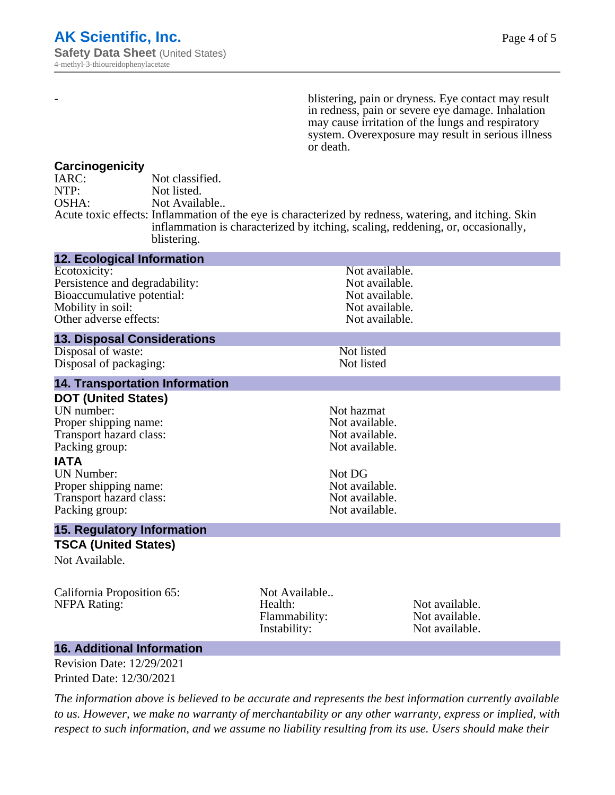- blistering, pain or dryness. Eye contact may result in redness, pain or severe eye damage. Inhalation may cause irritation of the lungs and respiratory system. Overexposure may result in serious illness or death.

#### **Carcinogenicity**

| IARC: | Not classified.                                                                                       |
|-------|-------------------------------------------------------------------------------------------------------|
| NTP:  | Not listed.                                                                                           |
| OSHA: | Not Available                                                                                         |
|       | Acute toxic effects: Inflammation of the eye is characterized by redness, watering, and itching. Skin |
|       | inflammation is characterized by itching, scaling, reddening, or, occasionally,                       |
|       | blistering.                                                                                           |

| <b>12. Ecological Information</b>                                                                                                                                                                                        |                                                           |                                                                                                                        |  |
|--------------------------------------------------------------------------------------------------------------------------------------------------------------------------------------------------------------------------|-----------------------------------------------------------|------------------------------------------------------------------------------------------------------------------------|--|
| Ecotoxicity:<br>Persistence and degradability:<br>Bioaccumulative potential:<br>Mobility in soil:<br>Other adverse effects:                                                                                              |                                                           | Not available.<br>Not available.<br>Not available.<br>Not available.<br>Not available.                                 |  |
| <b>13. Disposal Considerations</b>                                                                                                                                                                                       |                                                           |                                                                                                                        |  |
| Disposal of waste:<br>Disposal of packaging:                                                                                                                                                                             |                                                           | Not listed<br>Not listed                                                                                               |  |
| <b>14. Transportation Information</b>                                                                                                                                                                                    |                                                           |                                                                                                                        |  |
| <b>DOT (United States)</b><br>UN number:<br>Proper shipping name:<br>Transport hazard class:<br>Packing group:<br><b>IATA</b><br><b>UN Number:</b><br>Proper shipping name:<br>Transport hazard class:<br>Packing group: | Not DG                                                    | Not hazmat<br>Not available.<br>Not available.<br>Not available.<br>Not available.<br>Not available.<br>Not available. |  |
| <b>15. Regulatory Information</b>                                                                                                                                                                                        |                                                           |                                                                                                                        |  |
| <b>TSCA (United States)</b><br>Not Available.                                                                                                                                                                            |                                                           |                                                                                                                        |  |
| California Proposition 65:<br><b>NFPA Rating:</b>                                                                                                                                                                        | Not Available<br>Health:<br>Flammability:<br>Instability: | Not available.<br>Not available.<br>Not available.                                                                     |  |

#### **16. Additional Information**

Revision Date: 12/29/2021 Printed Date: 12/30/2021

*The information above is believed to be accurate and represents the best information currently available to us. However, we make no warranty of merchantability or any other warranty, express or implied, with respect to such information, and we assume no liability resulting from its use. Users should make their*